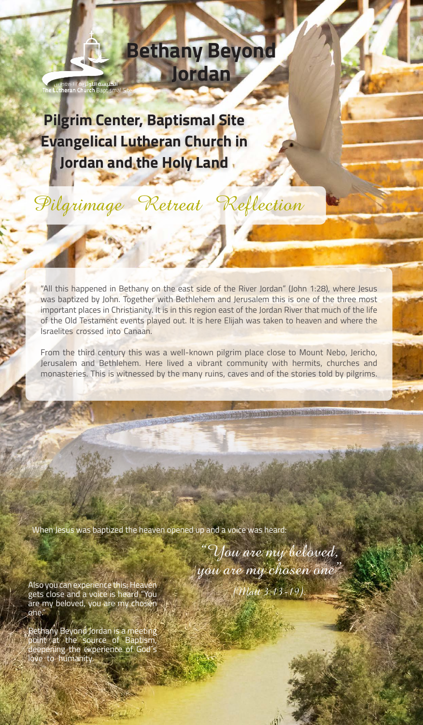## **Bethany Beyond Jordan**

**Pilgrim Center, Baptismal Site Evangelical Lutheran Church in** Jordan and the Holy Land

<mark>الكنيسة اللوثرية</mark> / المغطس<br>h**e Lutheran Church** Baptisma

Pilgrimage Retreat Reflection

"All this happened in Bethany on the east side of the River Jordan" (John 1:28), where Jesus was baptized by John. Together with Bethlehem and Jerusalem this is one of the three most important places in Christianity. It is in this region east of the Jordan River that much of the life of the Old Testament events played out. It is here Elijah was taken to heaven and where the Israelites crossed into Canaan.

From the third century this was a well-known pilgrim place close to Mount Nebo, Jericho, Jerusalem and Bethlehem. Here lived a vibrant community with hermits, churches and monasteries. This is witnessed by the many ruins, caves and of the stories told by pilgrims.

When Jesus was baptized the heaven opened up and a voice was heard:

You are my beloved, you are my chosen one"  $(Matt 3:13-19)$ 

**SEE A REPORT OF A PROPERTY OF A PROPERTY OF A PROPERTY OF A PROPERTY OF A PROPERTY OF A PROPERTY OF A PROPERTY** 

Also you can experience this; Heaven gets close and a voice is heard "You are my beloved, you are my chos<del>e</del>n one.

Bethany Beyond Jordan is a meeting point at the source of Baptism, deepening the experience of God´s love to humanity.